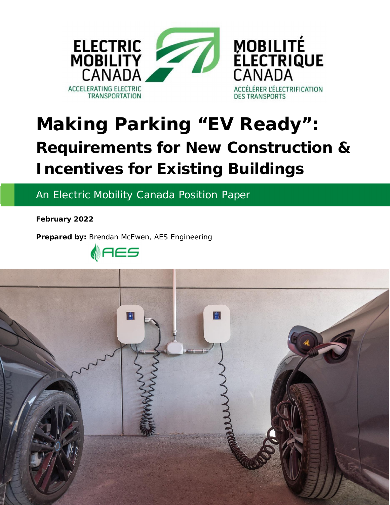

# **Making Parking "EV Ready": Requirements for New Construction & Incentives for Existing Buildings**

An Electric Mobility Canada Position Paper

**February 2022**

**Prepared by:** Brendan McEwen, AES Engineering



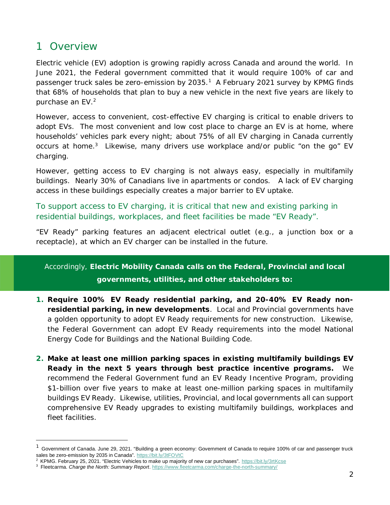## 1 Overview

Electric vehicle (EV) adoption is growing rapidly across Canada and around the world. In June 2021, the Federal government committed that it would require 100% of car and passenger truck sales be zero-emission by 2035.<sup>[1](#page-1-0)</sup> A February 2021 survey by KPMG finds that 68% of households that plan to buy a new vehicle in the next five years are likely to purchase an EV.<sup>[2](#page-1-1)</sup>

However, access to convenient, cost-effective EV charging is critical to enable drivers to adopt EVs. The most convenient and low cost place to charge an EV is at home, where households' vehicles park every night; about 75% of all EV charging in Canada currently occurs at home.<sup>[3](#page-1-2)</sup> Likewise, many drivers use workplace and/or public "on the go" EV charging.

However, getting access to EV charging is not always easy, especially in multifamily buildings. Nearly 30% of Canadians live in apartments or condos. A lack of EV charging access in these buildings especially creates a major barrier to EV uptake.

To support access to EV charging, it is critical that new and existing parking in residential buildings, workplaces, and fleet facilities be made "EV Ready".

"EV Ready" parking features an adjacent electrical outlet (e.g., a junction box or a receptacle), at which an EV charger can be installed in the future.

Accordingly, **Electric Mobility Canada calls on the Federal, Provincial and local governments, utilities, and other stakeholders to:**

- **1. Require 100% EV Ready residential parking, and 20-40% EV Ready nonresidential parking, in new developments**. Local and Provincial governments have a golden opportunity to adopt EV Ready requirements for new construction. Likewise, the Federal Government can adopt EV Ready requirements into the model National Energy Code for Buildings and the National Building Code.
- **2. Make at least one million parking spaces in existing multifamily buildings EV Ready in the next 5 years through best practice incentive programs.** We recommend the Federal Government fund an EV Ready Incentive Program, providing \$1-billion over five years to make at least one-million parking spaces in multifamily buildings EV Ready. Likewise, utilities, Provincial, and local governments all can support comprehensive EV Ready upgrades to existing multifamily buildings, workplaces and fleet facilities.

<span id="page-1-0"></span> $1$  Government of Canada. June 29, 2021. "Building a green economy: Government of Canada to require 100% of car and passenger truck sales be zero-emission by 2035 in Canada". <https://bit.ly/3tFOVtC>

<span id="page-1-1"></span><sup>&</sup>lt;sup>2</sup> KPMG. February 25, 2021. "Electric Vehicles to make up majority of new car purchases". <https://bit.ly/3rtKcse>

<span id="page-1-2"></span><sup>3</sup> Fleetcarma. *Charge the North: Summary Report*. <https://www.fleetcarma.com/charge-the-north-summary/>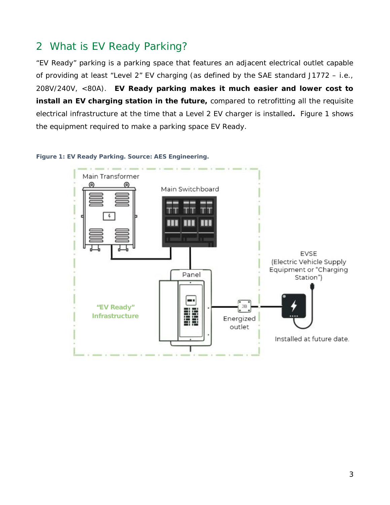## 2 What is EV Ready Parking?

"EV Ready" parking is a parking space that features an adjacent electrical outlet capable of providing at least "Level 2" EV charging (as defined by the SAE standard J1772 – i.e., 208V/240V, <80A). **EV Ready parking makes it much easier and lower cost to install an EV charging station in the future,** compared to retrofitting all the requisite electrical infrastructure at the time that a Level 2 EV charger is installed**.** Figure 1 shows the equipment required to make a parking space EV Ready.



#### *Figure 1: EV Ready Parking. Source: AES Engineering.*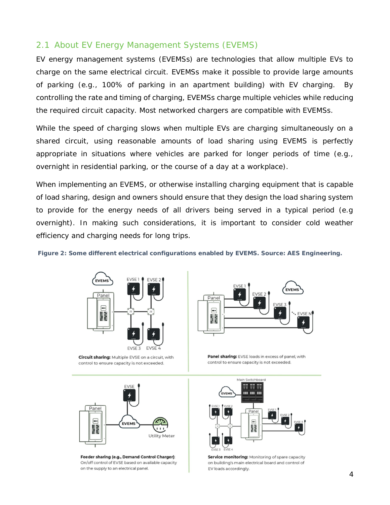### 2.1 About EV Energy Management Systems (EVEMS)

EV energy management systems (EVEMSs) are technologies that allow multiple EVs to charge on the same electrical circuit. EVEMSs make it possible to provide large amounts of parking (e.g., 100% of parking in an apartment building) with EV charging. By controlling the rate and timing of charging, EVEMSs charge multiple vehicles while reducing the required circuit capacity. Most networked chargers are compatible with EVEMSs.

While the speed of charging slows when multiple EVs are charging simultaneously on a shared circuit, using reasonable amounts of load sharing using EVEMS is perfectly appropriate in situations where vehicles are parked for longer periods of time (e.g., overnight in residential parking, or the course of a day at a workplace).

When implementing an EVEMS, or otherwise installing charging equipment that is capable of load sharing, design and owners should ensure that they design the load sharing system to provide for the energy needs of all drivers being served in a typical period (e.g overnight). In making such considerations, it is important to consider cold weather efficiency and charging needs for long trips.

*Figure 2: Some different electrical configurations enabled by EVEMS. Source: AES Engineering.*



Circuit sharing: Multiple EVSE on a circuit, with control to ensure capacity is not exceeded.



Panel  $\Box$ **EVEMS** K **Utility Meter** 

Feeder sharing (e.g., Demand Control Charger): On/off control of EVSE based on available capacity on the supply to an electrical panel.

Panel sharing: EVSE loads in excess of panel, with control to ensure capacity is not exceeded.



Service monitoring: Monitoring of spare capacity on building's main electrical board and control of EV loads accordingly.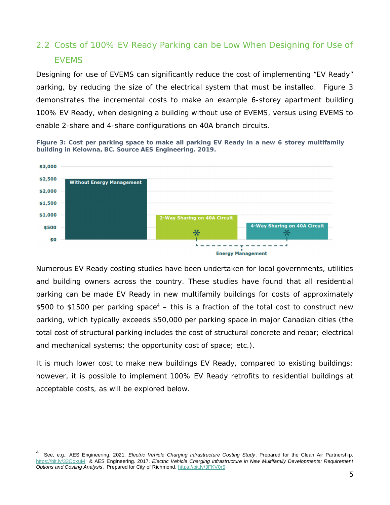## 2.2 Costs of 100% EV Ready Parking can be Low When Designing for Use of EVEMS

Designing for use of EVEMS can significantly reduce the cost of implementing "EV Ready" parking, by reducing the size of the electrical system that must be installed. Figure 3 demonstrates the incremental costs to make an example 6-storey apartment building 100% EV Ready, when designing a building without use of EVEMS, versus using EVEMS to enable 2-share and 4-share configurations on 40A branch circuits.

*Figure 3: Cost per parking space to make all parking EV Ready in a new 6 storey multifamily building in Kelowna, BC. Source AES Engineering. 2019.*



Numerous EV Ready costing studies have been undertaken for local governments, utilities and building owners across the country. These studies have found that all residential parking can be made EV Ready in new multifamily buildings for costs of approximately \$500 to \$1500 per parking space<sup>[4](#page-4-0)</sup>  $-$  this is a fraction of the total cost to construct new parking, which typically exceeds \$50,000 per parking space in major Canadian cities (the total cost of structural parking includes the cost of structural concrete and rebar; electrical and mechanical systems; the opportunity cost of space; etc.).

It is much lower cost to make new buildings EV Ready, compared to existing buildings; however, it is possible to implement 100% EV Ready retrofits to residential buildings at acceptable costs, as will be explored below.

<span id="page-4-0"></span><sup>4</sup> See, e.g., AES Engineering. 2021*. Electric Vehicle Charging Infrastructure Costing Study*. Prepared for the Clean Air Partnership. <https://bit.ly/33OqxuM>& AES Engineering. 2017. *Electric Vehicle Charging Infrastructure in New Multifamily Developments: Requirement Options and Costing Analysis*. Prepared for City of Richmond. <https://bit.ly/3FKV0r5>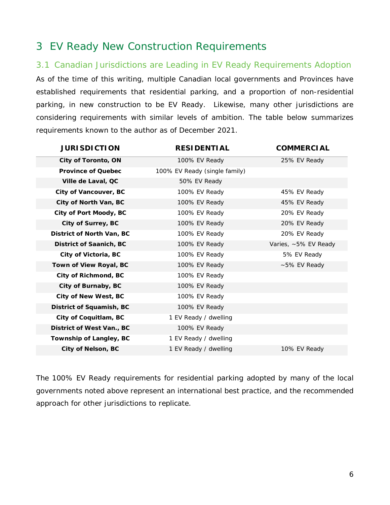## 3 EV Ready New Construction Requirements

#### 3.1 Canadian Jurisdictions are Leading in EV Ready Requirements Adoption

As of the time of this writing, multiple Canadian local governments and Provinces have established requirements that residential parking, and a proportion of non-residential parking, in new construction to be EV Ready. Likewise, many other jurisdictions are considering requirements with similar levels of ambition. The table below summarizes requirements known to the author as of December 2021.

| <b>JURISDICTION</b>       | <b>RESIDENTIAL</b>            | <b>COMMERCIAL</b>    |
|---------------------------|-------------------------------|----------------------|
| City of Toronto, ON       | 100% EV Ready                 | 25% EV Ready         |
| Province of Quebec        | 100% EV Ready (single family) |                      |
| Ville de Laval, QC        | 50% EV Ready                  |                      |
| City of Vancouver, BC     | 100% EV Ready                 | 45% EV Ready         |
| City of North Van, BC     | 100% EV Ready                 | 45% EV Ready         |
| City of Port Moody, BC    | 100% EV Ready                 | 20% EV Ready         |
| City of Surrey, BC        | 100% EV Ready                 | 20% EV Ready         |
| District of North Van, BC | 100% EV Ready                 | 20% EV Ready         |
| District of Saanich, BC   | 100% EV Ready                 | Varies, ~5% EV Ready |
| City of Victoria, BC      | 100% EV Ready                 | 5% EV Ready          |
| Town of View Royal, BC    | 100% EV Ready                 | ~5% EV Ready         |
| City of Richmond, BC      | 100% EV Ready                 |                      |
| City of Burnaby, BC       | 100% EV Ready                 |                      |
| City of New West, BC      | 100% EV Ready                 |                      |
| District of Squamish, BC  | 100% EV Ready                 |                      |
| City of Coquitlam, BC     | 1 EV Ready / dwelling         |                      |
| District of West Van., BC | 100% EV Ready                 |                      |
| Township of Langley, BC   | 1 EV Ready / dwelling         |                      |
| City of Nelson, BC        | 1 EV Ready / dwelling         | 10% EV Ready         |

The 100% EV Ready requirements for residential parking adopted by many of the local governments noted above represent an international best practice, and the recommended approach for other jurisdictions to replicate.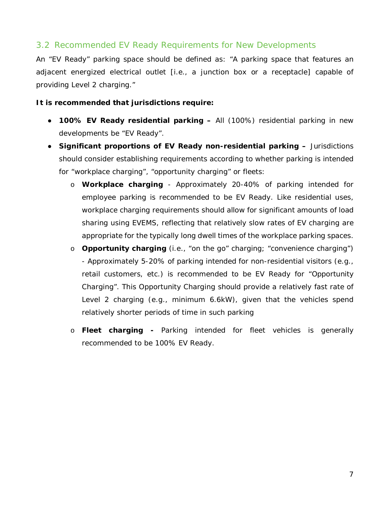#### 3.2 Recommended EV Ready Requirements for New Developments

An "EV Ready" parking space should be defined as: "A parking space that features an adjacent energized electrical outlet [i.e., a junction box or a receptacle] capable of providing Level 2 charging."

**It is recommended that jurisdictions require:**

- **100% EV Ready residential parking –** All (100%) residential parking in new developments be "EV Ready".
- **Significant proportions of EV Ready non-residential parking –** Jurisdictions should consider establishing requirements according to whether parking is intended for "workplace charging", "opportunity charging" or fleets:
	- o **Workplace charging** Approximately 20-40% of parking intended for employee parking is recommended to be EV Ready. Like residential uses, workplace charging requirements should allow for significant amounts of load sharing using EVEMS, reflecting that relatively slow rates of EV charging are appropriate for the typically long dwell times of the workplace parking spaces.
	- o **Opportunity charging** (i.e., "on the go" charging; "convenience charging") - Approximately 5-20% of parking intended for non-residential visitors (e.g., retail customers, etc.) is recommended to be EV Ready for "Opportunity Charging". This Opportunity Charging should provide a relatively fast rate of Level 2 charging (e.g., minimum 6.6kW), given that the vehicles spend relatively shorter periods of time in such parking
	- o **Fleet charging -** Parking intended for fleet vehicles is generally recommended to be 100% EV Ready.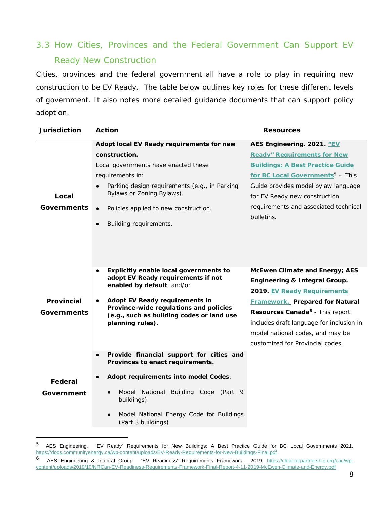## 3.3 How Cities, Provinces and the Federal Government Can Support EV Ready New Construction

Cities, provinces and the federal government all have a role to play in requiring new construction to be EV Ready. The table below outlines key roles for these different levels of government. It also notes more detailed guidance documents that can support policy adoption.

| Jurisdiction              | Action                                                                                                                                                                                                                                                                                            | Resources                                                                                                                                                                                                                                                                                                   |
|---------------------------|---------------------------------------------------------------------------------------------------------------------------------------------------------------------------------------------------------------------------------------------------------------------------------------------------|-------------------------------------------------------------------------------------------------------------------------------------------------------------------------------------------------------------------------------------------------------------------------------------------------------------|
| Local<br>Governments      | Adopt local EV Ready requirements for new<br>construction.<br>Local governments have enacted these<br>requirements in:<br>Parking design requirements (e.g., in Parking<br>Bylaws or Zoning Bylaws).<br>Policies applied to new construction.<br>$\bullet$<br>Building requirements.<br>$\bullet$ | AES Engineering. 2021. "EV<br><b>Ready" Requirements for New</b><br><b>Buildings: A Best Practice Guide</b><br>for BC Local Governments <sup>5</sup> - This<br>Guide provides model bylaw language<br>for EV Ready new construction<br>requirements and associated technical<br>bulletins.                  |
| Provincial<br>Governments | Explicitly enable local governments to<br>adopt EV Ready requirements if not<br>enabled by default, and/or<br>Adopt EV Ready requirements in<br>Province-wide regulations and policies<br>(e.g., such as building codes or land use<br>planning rules).                                           | McEwen Climate and Energy; AES<br>Engineering & Integral Group.<br>2019. EV Ready Requirements<br><b>Framework.</b> Prepared for Natural<br>Resources Canada <sup>6</sup> - This report<br>includes draft language for inclusion in<br>model national codes, and may be<br>customized for Provincial codes. |
| Federal<br>Government     | Provide financial support for cities and<br>Provinces to enact requirements.<br>Adopt requirements into model Codes:<br>Building Code (Part 9<br>Model National<br>$\bullet$<br>buildings)<br>Model National Energy Code for Buildings<br>(Part 3 buildings)                                      |                                                                                                                                                                                                                                                                                                             |

<span id="page-7-0"></span><sup>5</sup> AES Engineering. "EV Ready" Requirements for New Buildings: A Best Practice Guide for BC Local Governments 2021. <https://docs.communityenergy.ca/wp-content/uploads/EV-Ready-Requirements-for-New-Buildings-Final.pdf>

<span id="page-7-1"></span><sup>6</sup> AES Engineering & Integral Group. "EV Readiness" Requirements Framework. 2019. [https://cleanairpartnership.org/cac/wp](https://cleanairpartnership.org/cac/wp-content/uploads/2019/10/NRCan-EV-Readiness-Requirements-Framework-Final-Report-4-11-2019-McEwen-Climate-and-Energy.pdf)content/uploads/2019/10/NRCan-EV-Readiness-Requirements-Framework-Final-Report-4-11-2019-McEwen-Climate-and-Energy.pdf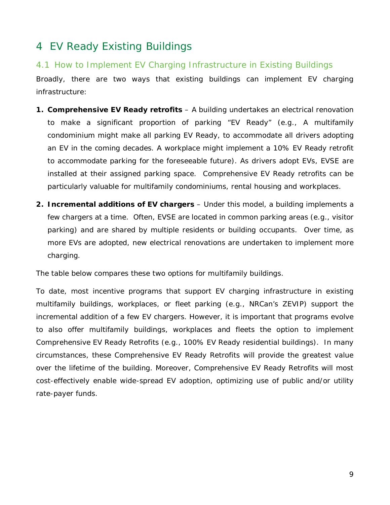## 4 EV Ready Existing Buildings

#### 4.1 How to Implement EV Charging Infrastructure in Existing Buildings

Broadly, there are two ways that existing buildings can implement EV charging infrastructure:

- **1. Comprehensive EV Ready retrofits** A building undertakes an electrical renovation to make a significant proportion of parking "EV Ready" (e.g., A multifamily condominium might make all parking EV Ready, to accommodate all drivers adopting an EV in the coming decades. A workplace might implement a 10% EV Ready retrofit to accommodate parking for the foreseeable future). As drivers adopt EVs, EVSE are installed at their assigned parking space. Comprehensive EV Ready retrofits can be particularly valuable for multifamily condominiums, rental housing and workplaces.
- **2. Incremental additions of EV chargers** Under this model, a building implements a few chargers at a time. Often, EVSE are located in common parking areas (e.g., visitor parking) and are shared by multiple residents or building occupants. Over time, as more EVs are adopted, new electrical renovations are undertaken to implement more charging.

The table below compares these two options for multifamily buildings.

To date, most incentive programs that support EV charging infrastructure in existing multifamily buildings, workplaces, or fleet parking (e.g., NRCan's ZEVIP) support the incremental addition of a few EV chargers. However, it is important that programs evolve to also offer multifamily buildings, workplaces and fleets the option to implement Comprehensive EV Ready Retrofits (e.g., 100% EV Ready residential buildings). In many circumstances, these Comprehensive EV Ready Retrofits will provide the greatest value over the lifetime of the building. Moreover, Comprehensive EV Ready Retrofits will most cost-effectively enable wide-spread EV adoption, optimizing use of public and/or utility rate-payer funds.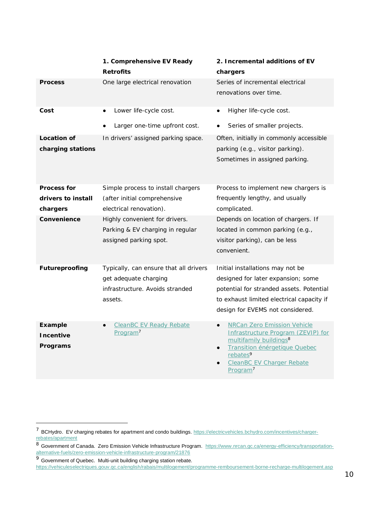|                                  | 1. Comprehensive EV Ready<br>Retrofits                                                       | 2. Incremental additions of EV<br>chargers                                                                                                                                                                                                       |
|----------------------------------|----------------------------------------------------------------------------------------------|--------------------------------------------------------------------------------------------------------------------------------------------------------------------------------------------------------------------------------------------------|
| Process                          | One large electrical renovation                                                              | Series of incremental electrical<br>renovations over time.                                                                                                                                                                                       |
| Cost                             | Lower life-cycle cost.<br>$\bullet$                                                          | Higher life-cycle cost.<br>$\bullet$                                                                                                                                                                                                             |
|                                  | Larger one-time upfront cost.                                                                | Series of smaller projects.                                                                                                                                                                                                                      |
| Location of<br>charging stations | In drivers' assigned parking space.                                                          | Often, initially in commonly accessible<br>parking (e.g., visitor parking).<br>Sometimes in assigned parking.                                                                                                                                    |
| Process for                      | Simple process to install chargers                                                           | Process to implement new chargers is                                                                                                                                                                                                             |
| drivers to install<br>chargers   | (after initial comprehensive<br>electrical renovation).                                      | frequently lengthy, and usually<br>complicated.                                                                                                                                                                                                  |
| Convenience                      | Highly convenient for drivers.<br>Parking & EV charging in regular<br>assigned parking spot. | Depends on location of chargers. If<br>located in common parking (e.g.,<br>visitor parking), can be less<br>convenient.                                                                                                                          |
| Futureproofing                   | Typically, can ensure that all drivers                                                       | Initial installations may not be                                                                                                                                                                                                                 |
|                                  | get adequate charging<br>infrastructure. Avoids stranded<br>assets.                          | designed for later expansion; some<br>potential for stranded assets. Potential<br>to exhaust limited electrical capacity if<br>design for EVEMS not considered.                                                                                  |
|                                  |                                                                                              |                                                                                                                                                                                                                                                  |
| Example<br>Incentive<br>Programs | <b>CleanBC EV Ready Rebate</b><br>Program <sup>7</sup>                                       | <b>NRCan Zero Emission Vehicle</b><br>Infrastructure Program (ZEVIP) for<br>multifamily buildings <sup>8</sup><br>Transition énérgetique Quebec<br>$\bullet$<br>rebates <sup>9</sup><br><b>CleanBC EV Charger Rebate</b><br>Program <sup>7</sup> |

<span id="page-9-0"></span><sup>&</sup>lt;sup>7</sup> BCHydro. EV charging rebates for apartment and condo buildings. [https://electricvehicles.bchydro.com/incentives/charger](https://electricvehicles.bchydro.com/incentives/charger-rebates/apartment)rebates/apartment

<span id="page-9-1"></span><sup>8</sup> Government of Canada. Zero Emission Vehicle Infrastructure Program. [https://www.nrcan.gc.ca/energy-efficiency/transportation](https://www.nrcan.gc.ca/energy-efficiency/transportation-alternative-fuels/zero-emission-vehicle-infrastructure-program/21876)alternative-fuels/zero-emission-vehicle-infrastructure-program/21876

<span id="page-9-2"></span><sup>9</sup> Government of Quebec. Multi-unit building charging station rebate.

<https://vehiculeselectriques.gouv.qc.ca/english/rabais/multilogement/programme-remboursement-borne-recharge-multilogement.asp>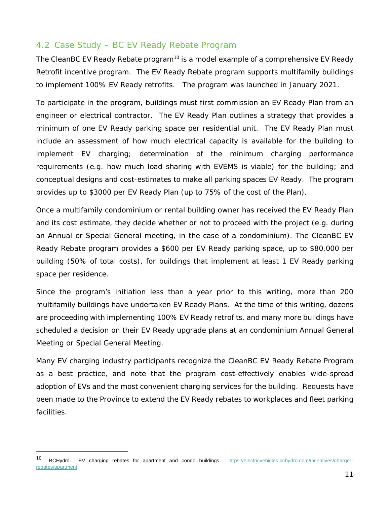#### 4.2 Case Study – BC EV Ready Rebate Program

The CleanBC EV Ready Rebate program<sup>[10](#page-10-0)</sup> is a model example of a comprehensive EV Ready Retrofit incentive program. The EV Ready Rebate program supports multifamily buildings to implement 100% EV Ready retrofits. The program was launched in January 2021.

To participate in the program, buildings must first commission an EV Ready Plan from an engineer or electrical contractor. The EV Ready Plan outlines a strategy that provides a minimum of one EV Ready parking space per residential unit. The EV Ready Plan must include an assessment of how much electrical capacity is available for the building to implement EV charging; determination of the minimum charging performance requirements (e.g. how much load sharing with EVEMS is viable) for the building; and conceptual designs and cost-estimates to make all parking spaces EV Ready. The program provides up to \$3000 per EV Ready Plan (up to 75% of the cost of the Plan).

Once a multifamily condominium or rental building owner has received the EV Ready Plan and its cost estimate, they decide whether or not to proceed with the project (e.g. during an Annual or Special General meeting, in the case of a condominium). The CleanBC EV Ready Rebate program provides a \$600 per EV Ready parking space, up to \$80,000 per building (50% of total costs), for buildings that implement at least 1 EV Ready parking space per residence.

Since the program's initiation less than a year prior to this writing, more than 200 multifamily buildings have undertaken EV Ready Plans. At the time of this writing, dozens are proceeding with implementing 100% EV Ready retrofits, and many more buildings have scheduled a decision on their EV Ready upgrade plans at an condominium Annual General Meeting or Special General Meeting.

Many EV charging industry participants recognize the CleanBC EV Ready Rebate Program as a best practice, and note that the program cost-effectively enables wide-spread adoption of EVs and the most convenient charging services for the building. Requests have been made to the Province to extend the EV Ready rebates to workplaces and fleet parking facilities.

<span id="page-10-0"></span><sup>10</sup> BCHydro. EV charging rebates for apartment and condo buildings. [https://electricvehicles.bchydro.com/incentives/charger](https://electricvehicles.bchydro.com/incentives/charger-rebates/apartment)rebates/apartment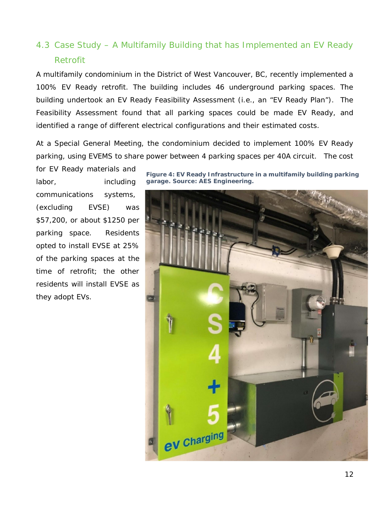## 4.3 Case Study – A Multifamily Building that has Implemented an EV Ready Retrofit

A multifamily condominium in the District of West Vancouver, BC, recently implemented a 100% EV Ready retrofit. The building includes 46 underground parking spaces. The building undertook an EV Ready Feasibility Assessment (i.e., an "EV Ready Plan"). The Feasibility Assessment found that all parking spaces could be made EV Ready, and identified a range of different electrical configurations and their estimated costs.

At a Special General Meeting, the condominium decided to implement 100% EV Ready parking, using EVEMS to share power between 4 parking spaces per 40A circuit. The cost

for EV Ready materials and labor, including communications systems, (excluding EVSE) was \$57,200, or about \$1250 per parking space. Residents opted to install EVSE at 25% of the parking spaces at the time of retrofit; the other residents will install EVSE as they adopt EVs.

*Figure 4: EV Ready Infrastructure in a multifamily building parking garage. Source: AES Engineering.*

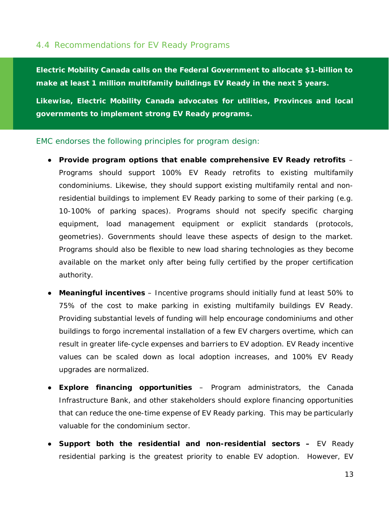#### 4.4 Recommendations for EV Ready Programs

**Electric Mobility Canada calls on the Federal Government to allocate \$1-billion to make at least 1 million multifamily buildings EV Ready in the next 5 years.**

**Likewise, Electric Mobility Canada advocates for utilities, Provinces and local governments to implement strong EV Ready programs.**

EMC endorses the following principles for program design:

- **Provide program options that enable comprehensive EV Ready retrofits** Programs should support 100% EV Ready retrofits to existing multifamily condominiums. Likewise, they should support existing multifamily rental and nonresidential buildings to implement EV Ready parking to some of their parking (e.g. 10-100% of parking spaces). Programs should not specify specific charging equipment, load management equipment or explicit standards (protocols, geometries). Governments should leave these aspects of design to the market. Programs should also be flexible to new load sharing technologies as they become available on the market only after being fully certified by the proper certification authority.
- **Meaningful incentives** Incentive programs should initially fund at least 50% to 75% of the cost to make parking in existing multifamily buildings EV Ready. Providing substantial levels of funding will help encourage condominiums and other buildings to forgo incremental installation of a few EV chargers overtime, which can result in greater life-cycle expenses and barriers to EV adoption. EV Ready incentive values can be scaled down as local adoption increases, and 100% EV Ready upgrades are normalized.
- **Explore financing opportunities** Program administrators, the Canada Infrastructure Bank, and other stakeholders should explore financing opportunities that can reduce the one-time expense of EV Ready parking. This may be particularly valuable for the condominium sector.
- **Support both the residential and non-residential sectors –** EV Ready residential parking is the greatest priority to enable EV adoption. However, EV